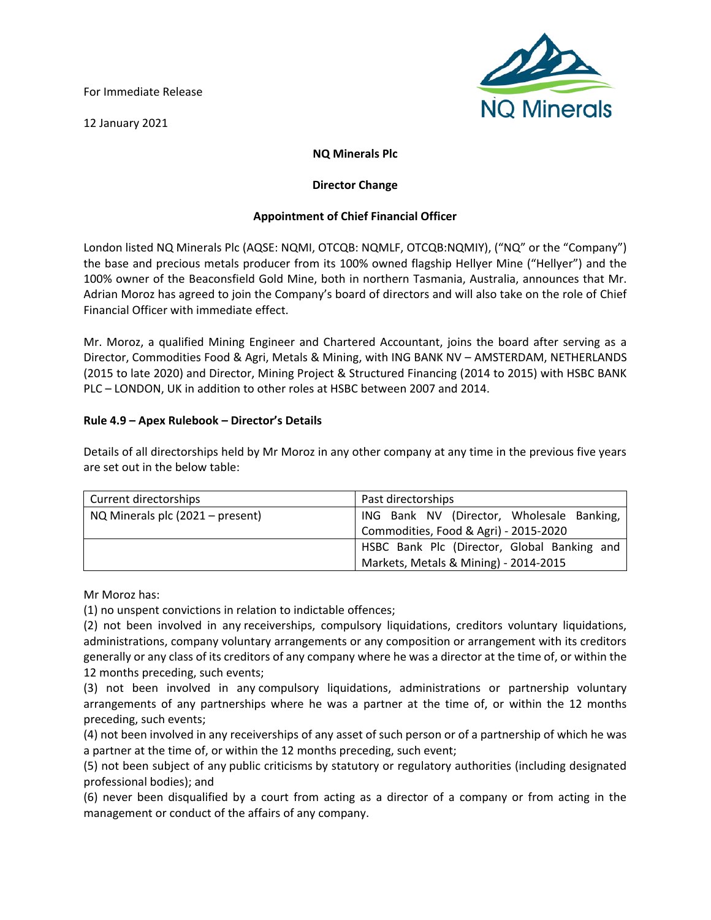For Immediate Release

12 January 2021



# **NQ Minerals Plc**

## **Director Change**

## **Appointment of Chief Financial Officer**

London listed NQ Minerals Plc (AQSE: NQMI, OTCQB: NQMLF, OTCQB:NQMIY), ("NQ" or the "Company") the base and precious metals producer from its 100% owned flagship Hellyer Mine ("Hellyer") and the 100% owner of the Beaconsfield Gold Mine, both in northern Tasmania, Australia, announces that Mr. Adrian Moroz has agreed to join the Company's board of directors and will also take on the role of Chief Financial Officer with immediate effect.

Mr. Moroz, a qualified Mining Engineer and Chartered Accountant, joins the board after serving as a Director, Commodities Food & Agri, Metals & Mining, with ING BANK NV – AMSTERDAM, NETHERLANDS (2015 to late 2020) and Director, Mining Project & Structured Financing (2014 to 2015) with HSBC BANK PLC – LONDON, UK in addition to other roles at HSBC between 2007 and 2014.

### **Rule 4.9 – Apex Rulebook – Director's Details**

Details of all directorships held by Mr Moroz in any other company at any time in the previous five years are set out in the below table:

| Current directorships            | Past directorships                          |
|----------------------------------|---------------------------------------------|
| NQ Minerals plc (2021 – present) | ING Bank NV (Director, Wholesale Banking,   |
|                                  | Commodities, Food & Agri) - 2015-2020       |
|                                  | HSBC Bank Plc (Director, Global Banking and |
|                                  | Markets, Metals & Mining) - 2014-2015       |

Mr Moroz has:

(1) no unspent convictions in relation to indictable offences;

(2) not been involved in any receiverships, compulsory liquidations, creditors voluntary liquidations, administrations, company voluntary arrangements or any composition or arrangement with its creditors generally or any class of its creditors of any company where he was a director at the time of, or within the 12 months preceding, such events;

(3) not been involved in any compulsory liquidations, administrations or partnership voluntary arrangements of any partnerships where he was a partner at the time of, or within the 12 months preceding, such events;

(4) not been involved in any receiverships of any asset of such person or of a partnership of which he was a partner at the time of, or within the 12 months preceding, such event;

(5) not been subject of any public criticisms by statutory or regulatory authorities (including designated professional bodies); and

(6) never been disqualified by a court from acting as a director of a company or from acting in the management or conduct of the affairs of any company.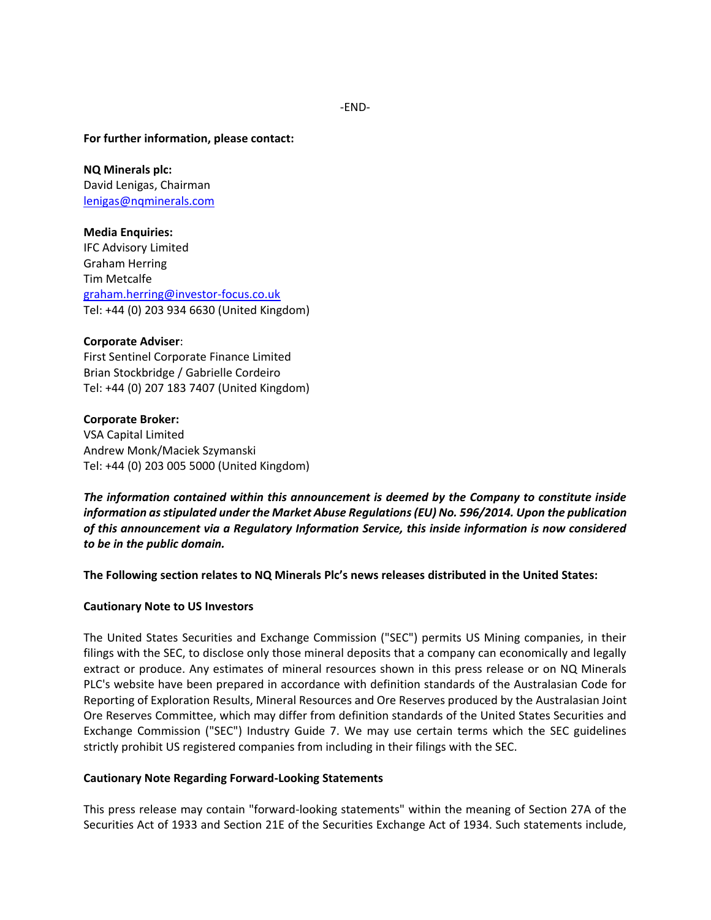**For further information, please contact:**

**NQ Minerals plc:** David Lenigas, Chairman [lenigas@nqminerals.com](mailto:lenigas@nqminerals.com)

**Media Enquiries:** IFC Advisory Limited Graham Herring Tim Metcalfe [graham.herring@investor-focus.co.uk](mailto:graham.herring@investor-focus.co.uk) Tel: +44 (0) 203 934 6630 (United Kingdom)

#### **Corporate Adviser**:

First Sentinel Corporate Finance Limited Brian Stockbridge / Gabrielle Cordeiro Tel: +44 (0) 207 183 7407 (United Kingdom)

**Corporate Broker:** VSA Capital Limited Andrew Monk/Maciek Szymanski Tel: +44 (0) 203 005 5000 (United Kingdom)

*The information contained within this announcement is deemed by the Company to constitute inside information as stipulated under the Market Abuse Regulations (EU) No. 596/2014. Upon the publication of this announcement via a Regulatory Information Service, this inside information is now considered to be in the public domain.*

**The Following section relates to NQ Minerals Plc's news releases distributed in the United States:** 

#### **Cautionary Note to US Investors**

The United States Securities and Exchange Commission ("SEC") permits US Mining companies, in their filings with the SEC, to disclose only those mineral deposits that a company can economically and legally extract or produce. Any estimates of mineral resources shown in this press release or on NQ Minerals PLC's website have been prepared in accordance with definition standards of the Australasian Code for Reporting of Exploration Results, Mineral Resources and Ore Reserves produced by the Australasian Joint Ore Reserves Committee, which may differ from definition standards of the United States Securities and Exchange Commission ("SEC") Industry Guide 7. We may use certain terms which the SEC guidelines strictly prohibit US registered companies from including in their filings with the SEC.

#### **Cautionary Note Regarding Forward-Looking Statements**

This press release may contain "forward-looking statements" within the meaning of Section 27A of the Securities Act of 1933 and Section 21E of the Securities Exchange Act of 1934. Such statements include,